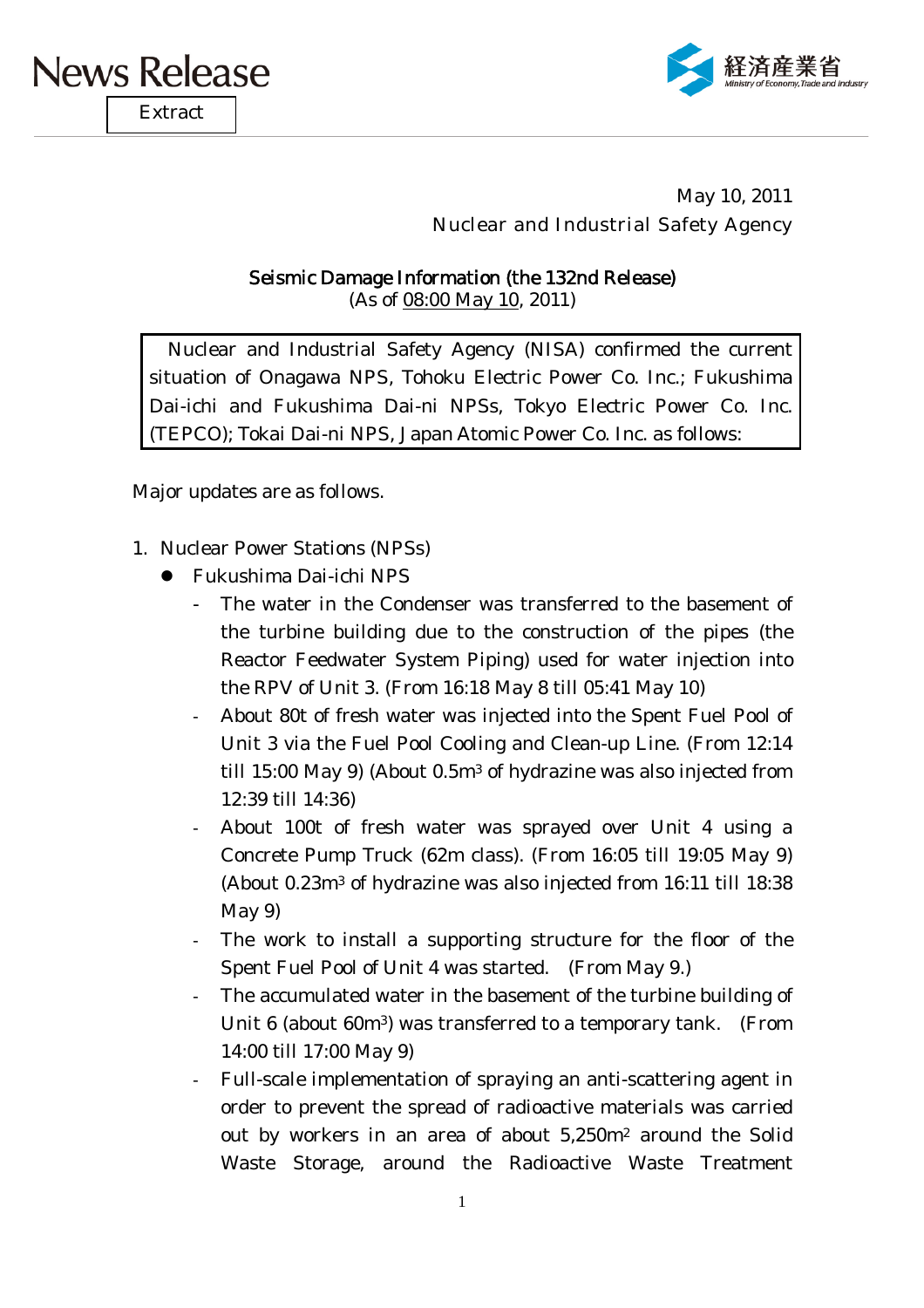

**Extract** 



May 10, 2011 Nuclear and Industrial Safety Agency

Seismic Damage Information (the 132nd Release) (As of 08:00 May 10, 2011)

Nuclear and Industrial Safety Agency (NISA) confirmed the current situation of Onagawa NPS, Tohoku Electric Power Co. Inc.; Fukushima Dai-ichi and Fukushima Dai-ni NPSs, Tokyo Electric Power Co. Inc. (TEPCO); Tokai Dai-ni NPS, Japan Atomic Power Co. Inc. as follows:

Major updates are as follows.

- 1. Nuclear Power Stations (NPSs)
	- Fukushima Dai-ichi NPS
		- The water in the Condenser was transferred to the basement of the turbine building due to the construction of the pipes (the Reactor Feedwater System Piping) used for water injection into the RPV of Unit 3. (From 16:18 May 8 till 05:41 May 10)
		- About 80t of fresh water was injected into the Spent Fuel Pool of Unit 3 via the Fuel Pool Cooling and Clean-up Line. (From 12:14 till 15:00 May 9) (About 0.5m3 of hydrazine was also injected from 12:39 till 14:36)
		- About 100t of fresh water was sprayed over Unit 4 using a Concrete Pump Truck (62m class). (From 16:05 till 19:05 May 9) (About 0.23m3 of hydrazine was also injected from 16:11 till 18:38 May 9)
		- The work to install a supporting structure for the floor of the Spent Fuel Pool of Unit 4 was started. (From May 9.)
		- The accumulated water in the basement of the turbine building of Unit 6 (about 60m3) was transferred to a temporary tank. (From 14:00 till 17:00 May 9)
		- Full-scale implementation of spraying an anti-scattering agent in order to prevent the spread of radioactive materials was carried out by workers in an area of about 5,250m2 around the Solid Waste Storage, around the Radioactive Waste Treatment